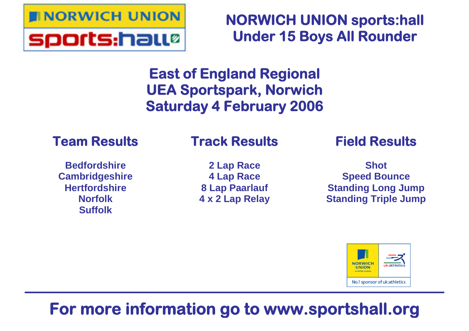

**NORWICH UNION sports:hall Under 15 Boys All Rounder**

# **East of England Regional UEA Sportspark, Norwich Saturday 4 February 2006**

## **Team Results**

## **Track Results**

**Bedfordshire Cambridgeshire Hertfordshire Norfolk Suffolk**

**2 Lap Race 4 Lap Race 8 Lap Paarlauf 4 x 2 Lap Relay** **Field Results**

**Shot Speed Bounce Standing Long Jump Standing Triple Jump**



# **For more information go to www.sportshall.org**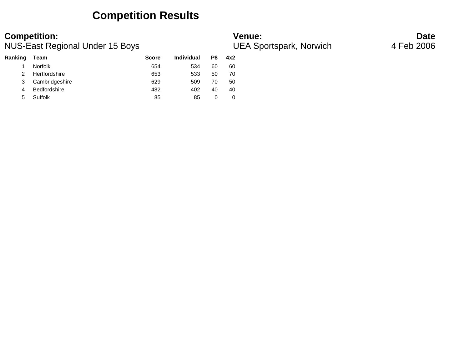## **Competition Results**

NUS-East Regional Under 15 Boys UEA Sportspark, Norwich 4 Feb 2006

| Ranking | Team                | <b>Score</b> | <b>Individual</b> | P8 | 4x2 |
|---------|---------------------|--------------|-------------------|----|-----|
|         | <b>Norfolk</b>      | 654          | 534               | 60 | 60  |
|         | Hertfordshire       | 653          | 533               | 50 | 70  |
| 3       | Cambridgeshire      | 629          | 509               | 70 | 50  |
| 4       | <b>Bedfordshire</b> | 482          | 402               | 40 | 40  |
| 5       | Suffolk             | 85           | 85                |    |     |

**Competition: Venue: Date**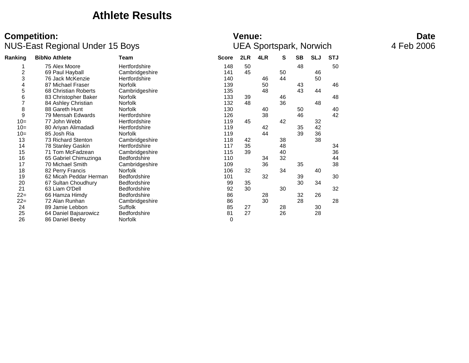## **Athlete Results**

### **Competition: Venue: Date** NUS-East Regional Under 15 Boys UEA Sportspark, Norwich 4 Feb 2006

| Ranking        | <b>BibNo Athlete</b>   | Team                 | <b>Score</b> | 2LR | 4LR | S  | <b>SB</b> | <b>SLJ</b> | <b>STJ</b> |
|----------------|------------------------|----------------------|--------------|-----|-----|----|-----------|------------|------------|
|                | 75 Alex Moore          | Hertfordshire        | 148          | 50  |     |    | 48        |            | 50         |
| $\overline{c}$ | 69 Paul Hayball        | Cambridgeshire       | 141          | 45  |     | 50 |           | 46         |            |
| 3              | 76 Jack McKenzie       | <b>Hertfordshire</b> | 140          |     | 46  | 44 |           | 50         |            |
| 4              | 87 Michael Fraser      | <b>Norfolk</b>       | 139          |     | 50  |    | 43        |            | 46         |
| 5              | 68 Christian Roberts   | Cambridgeshire       | 135          |     | 48  |    | 43        | 44         |            |
| 6              | 83 Christopher Baker   | <b>Norfolk</b>       | 133          | 39  |     | 46 |           |            | 48         |
|                | 84 Ashley Christian    | Norfolk              | 132          | 48  |     | 36 |           | 48         |            |
| 8              | 88 Gareth Hunt         | Norfolk              | 130          |     | 40  |    | 50        |            | 40         |
| 9              | 79 Mensah Edwards      | Hertfordshire        | 126          |     | 38  |    | 46        |            | 42         |
| $10=$          | 77 John Webb           | Hertfordshire        | 119          | 45  |     | 42 |           | 32         |            |
| $10=$          | 80 Ariyan Alimadadi    | Hertfordshire        | 119          |     | 42  |    | 35        | 42         |            |
| $10=$          | 85 Josh Ria            | <b>Norfolk</b>       | 119          |     | 44  |    | 39        | 36         |            |
| 13             | 73 Richard Stenton     | Cambridgeshire       | 118          | 42  |     | 38 |           | 38         |            |
| 14             | 78 Stanley Gaskin      | Hertfordshire        | 117          | 35  |     | 48 |           |            | 34         |
| 15             | 71 Tom McFadzean       | Cambridgeshire       | 115          | 39  |     | 40 |           |            | 36         |
| 16             | 65 Gabriel Chimuzinga  | <b>Bedfordshire</b>  | 110          |     | 34  | 32 |           |            | 44         |
| 17             | 70 Michael Smith       | Cambridgeshire       | 109          |     | 36  |    | 35        |            | 38         |
| 18             | 82 Perry Francis       | Norfolk              | 106          | 32  |     | 34 |           | 40         |            |
| 19             | 62 Micah Peddar Herman | <b>Bedfordshire</b>  | 101          |     | 32  |    | 39        |            | 30         |
| 20             | 67 Sultan Choudhury    | <b>Bedfordshire</b>  | 99           | 35  |     |    | 30        | 34         |            |
| 21             | 63 Liam O'Dell         | <b>Bedfordshire</b>  | 92           | 30  |     | 30 |           |            | 32         |
| $22=$          | 66 Hamza Himdy         | <b>Bedfordshire</b>  | 86           |     | 28  |    | 32        | 26         |            |
| $22 =$         | 72 Alan Runhan         | Cambridgeshire       | 86           |     | 30  |    | 28        |            | 28         |
| 24             | 89 Jamie Lebbon        | Suffolk              | 85           | 27  |     | 28 |           | 30         |            |
| 25             | 64 Daniel Bajsarowicz  | Bedfordshire         | 81           | 27  |     | 26 |           | 28         |            |
| 26             | 86 Daniel Beeby        | <b>Norfolk</b>       | $\Omega$     |     |     |    |           |            |            |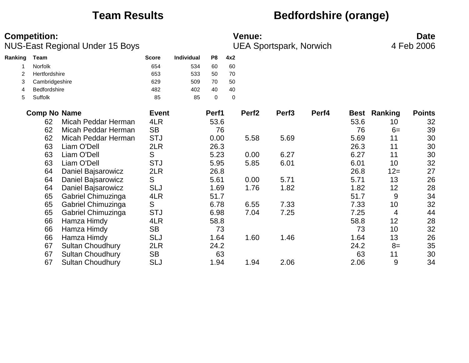## **Team Results Bedfordshire (orange)**

| Ranking | Team                | <b>Score</b> | <b>Individual</b> | P8 | 4x2 |  |
|---------|---------------------|--------------|-------------------|----|-----|--|
|         | <b>Norfolk</b>      | 654          | 534               | 60 | 60  |  |
| 2       | Hertfordshire       | 653          | 533               | 50 | 70  |  |
| 3       | Cambridgeshire      | 629          | 509               | 70 | 50  |  |
| 4       | <b>Bedfordshire</b> | 482          | 402               | 40 | 40  |  |
| 5       | Suffolk             | 85           | 85                |    |     |  |

| <b>Comp No Name</b> |                           | <b>Event</b> | Perf1 | Perf <sub>2</sub> | Perf <sub>3</sub> | Perf4 | Best | Ranking | <b>Points</b> |
|---------------------|---------------------------|--------------|-------|-------------------|-------------------|-------|------|---------|---------------|
| 62                  | Micah Peddar Herman       | 4LR          | 53.6  |                   |                   |       | 53.6 | 10      | 32            |
| 62                  | Micah Peddar Herman       | <b>SB</b>    | 76    |                   |                   |       | 76   | $6=$    | 39            |
| 62                  | Micah Peddar Herman       | <b>STJ</b>   | 0.00  | 5.58              | 5.69              |       | 5.69 | 11      | 30            |
| 63                  | Liam O'Dell               | 2LR          | 26.3  |                   |                   |       | 26.3 | 11      | 30            |
| 63                  | Liam O'Dell               | S            | 5.23  | 0.00              | 6.27              |       | 6.27 | 11      | 30            |
| 63                  | Liam O'Dell               | <b>STJ</b>   | 5.95  | 5.85              | 6.01              |       | 6.01 | 10      | 32            |
| 64                  | Daniel Bajsarowicz        | 2LR          | 26.8  |                   |                   |       | 26.8 | $12=$   | 27            |
| 64                  | Daniel Bajsarowicz        | S            | 5.61  | 0.00              | 5.71              |       | 5.71 | 13      | 26            |
| 64                  | <b>Daniel Bajsarowicz</b> | <b>SLJ</b>   | 1.69  | 1.76              | 1.82              |       | 1.82 | 12      | 28            |
| 65                  | Gabriel Chimuzinga        | 4LR          | 51.7  |                   |                   |       | 51.7 | 9       | 34            |
| 65                  | <b>Gabriel Chimuzinga</b> | S            | 6.78  | 6.55              | 7.33              |       | 7.33 | 10      | 32            |
| 65                  | Gabriel Chimuzinga        | <b>STJ</b>   | 6.98  | 7.04              | 7.25              |       | 7.25 | 4       | 44            |
| 66                  | Hamza Himdy               | 4LR          | 58.8  |                   |                   |       | 58.8 | 12      | 28            |
| 66                  | Hamza Himdy               | <b>SB</b>    | 73    |                   |                   |       | 73   | 10      | 32            |
| 66                  | Hamza Himdy               | <b>SLJ</b>   | 1.64  | 1.60              | 1.46              |       | 1.64 | 13      | 26            |
| 67                  | <b>Sultan Choudhury</b>   | 2LR          | 24.2  |                   |                   |       | 24.2 | $8=$    | 35            |
| 67                  | <b>Sultan Choudhury</b>   | <b>SB</b>    | 63    |                   |                   |       | 63   | 11      | 30            |
| 67                  | <b>Sultan Choudhury</b>   | SLJ          | 1.94  | 1.94              | 2.06              |       | 2.06 | 9       | 34            |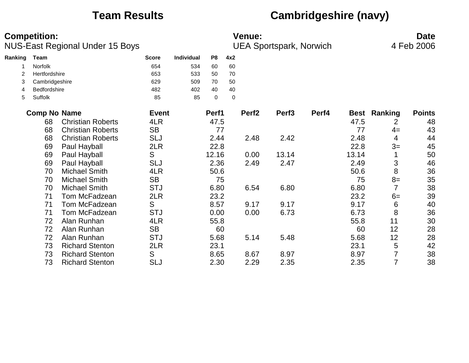## **Team Results Cambridgeshire (navy)**

| <b>Competition:</b> | <b>Venue:</b> | Date |
|---------------------|---------------|------|
|                     |               |      |

NUS-East Regional Under 15 Boys **UEA Sportspark, Norwich** 4 Feb 2006

| Ranking | Team                | <b>Score</b> | <b>Individual</b> | P8 | 4x2 |
|---------|---------------------|--------------|-------------------|----|-----|
|         | <b>Norfolk</b>      | 654          | 534               | 60 | 60  |
|         | Hertfordshire       | 653          | 533               | 50 | 70  |
| 3       | Cambridgeshire      | 629          | 509               | 70 | 50  |
| 4       | <b>Bedfordshire</b> | 482          | 402               | 40 | 40  |
| 5       | Suffolk             | 85           | 85                | 0  | 0   |

| <b>Comp No Name</b> |                          | <b>Event</b> | Perf1 | Perf <sub>2</sub> | Perf <sub>3</sub> | Perf4 |       | Best Ranking | <b>Points</b> |
|---------------------|--------------------------|--------------|-------|-------------------|-------------------|-------|-------|--------------|---------------|
| 68                  | <b>Christian Roberts</b> | 4LR          | 47.5  |                   |                   |       | 47.5  | 2            | 48            |
| 68                  | <b>Christian Roberts</b> | <b>SB</b>    | 77    |                   |                   |       | 77    | $4=$         | 43            |
| 68                  | <b>Christian Roberts</b> | <b>SLJ</b>   | 2.44  | 2.48              | 2.42              |       | 2.48  | 4            | 44            |
| 69                  | Paul Hayball             | 2LR          | 22.8  |                   |                   |       | 22.8  | $3=$         | 45            |
| 69                  | Paul Hayball             | S            | 12.16 | 0.00              | 13.14             |       | 13.14 |              | 50            |
| 69                  | Paul Hayball             | <b>SLJ</b>   | 2.36  | 2.49              | 2.47              |       | 2.49  | 3            | 46            |
| 70                  | <b>Michael Smith</b>     | 4LR          | 50.6  |                   |                   |       | 50.6  | 8            | 36            |
| 70                  | <b>Michael Smith</b>     | <b>SB</b>    | 75    |                   |                   |       | 75    | $8=$         | 35            |
| 70                  | <b>Michael Smith</b>     | <b>STJ</b>   | 6.80  | 6.54              | 6.80              |       | 6.80  |              | 38            |
| 71                  | Tom McFadzean            | 2LR          | 23.2  |                   |                   |       | 23.2  | $6=$         | 39            |
| 71                  | Tom McFadzean            | S            | 8.57  | 9.17              | 9.17              |       | 9.17  | 6            | 40            |
| 71                  | Tom McFadzean            | <b>STJ</b>   | 0.00  | 0.00              | 6.73              |       | 6.73  | 8            | 36            |
| 72                  | Alan Runhan              | 4LR          | 55.8  |                   |                   |       | 55.8  | 11           | 30            |
| 72                  | Alan Runhan              | <b>SB</b>    | 60    |                   |                   |       | 60    | 12           | 28            |
| 72                  | Alan Runhan              | <b>STJ</b>   | 5.68  | 5.14              | 5.48              |       | 5.68  | 12           | 28            |
| 73                  | <b>Richard Stenton</b>   | 2LR          | 23.1  |                   |                   |       | 23.1  | 5            | 42            |
| 73                  | <b>Richard Stenton</b>   | S            | 8.65  | 8.67              | 8.97              |       | 8.97  |              | 38            |
| 73                  | <b>Richard Stenton</b>   | SLJ          | 2.30  | 2.29              | 2.35              |       | 2.35  |              | 38            |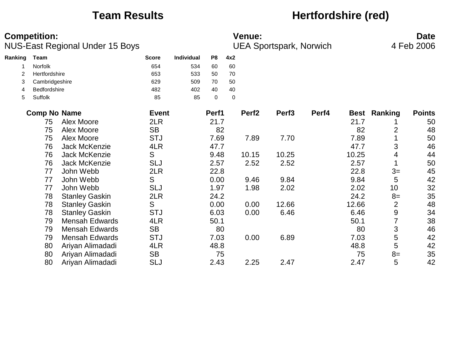Norfolk 654 534 60 60 2 Hertfordshire 653 653 50 70 3 Cambridgeshire 629 509 70 50 4 Bedfordshire 1482 402 40 40

## **Team Results Hertfordshire (red)**

| <b>Competition:</b>             |       |            |  | Venue:                         | Date       |  |
|---------------------------------|-------|------------|--|--------------------------------|------------|--|
| NUS-East Regional Under 15 Boys |       |            |  | <b>UEA Sportspark, Norwich</b> | 4 Feb 2006 |  |
| Ranking<br>Team                 | Score | Individual |  | P8 4x2                         |            |  |

| 5<br>Suffolk        |                       | 85           | 85<br>$\mathbf 0$ | 0                 |                   |       |       |         |               |
|---------------------|-----------------------|--------------|-------------------|-------------------|-------------------|-------|-------|---------|---------------|
| <b>Comp No Name</b> |                       | <b>Event</b> | Perf1             | Perf <sub>2</sub> | Perf <sub>3</sub> | Perf4 | Best  | Ranking | <b>Points</b> |
| 75                  | Alex Moore            | 2LR          | 21.7              |                   |                   |       | 21.7  |         | 50            |
| 75                  | Alex Moore            | <b>SB</b>    | 82                |                   |                   |       | 82    | 2       | 48            |
| 75                  | Alex Moore            | <b>STJ</b>   | 7.69              | 7.89              | 7.70              |       | 7.89  |         | 50            |
| 76                  | <b>Jack McKenzie</b>  | 4LR          | 47.7              |                   |                   |       | 47.7  | 3       | 46            |
| 76                  | <b>Jack McKenzie</b>  | S            | 9.48              | 10.15             | 10.25             |       | 10.25 | 4       | 44            |
| 76                  | <b>Jack McKenzie</b>  | <b>SLJ</b>   | 2.57              | 2.52              | 2.52              |       | 2.57  |         | 50            |
| 77                  | John Webb             | 2LR          | 22.8              |                   |                   |       | 22.8  | $3=$    | 45            |
| 77                  | John Webb             | S            | 0.00              | 9.46              | 9.84              |       | 9.84  | 5       | 42            |
| 77                  | John Webb             | <b>SLJ</b>   | 1.97              | 1.98              | 2.02              |       | 2.02  | 10      | 32            |
| 78                  | <b>Stanley Gaskin</b> | 2LR          | 24.2              |                   |                   |       | 24.2  | $8=$    | 35            |
| 78                  | <b>Stanley Gaskin</b> | S            | 0.00              | 0.00              | 12.66             |       | 12.66 | 2       | 48            |
| 78                  | <b>Stanley Gaskin</b> | <b>STJ</b>   | 6.03              | 0.00              | 6.46              |       | 6.46  | 9       | 34            |
| 79                  | <b>Mensah Edwards</b> | 4LR          | 50.1              |                   |                   |       | 50.1  |         | 38            |
| 79                  | <b>Mensah Edwards</b> | <b>SB</b>    | 80                |                   |                   |       | 80    | 3       | 46            |
| 79                  | <b>Mensah Edwards</b> | <b>STJ</b>   | 7.03              | 0.00              | 6.89              |       | 7.03  | 5       | 42            |
| 80                  | Ariyan Alimadadi      | 4LR          | 48.8              |                   |                   |       | 48.8  | 5       | 42            |
| 80                  | Ariyan Alimadadi      | <b>SB</b>    | 75                |                   |                   |       | 75    | $8=$    | 35            |
| 80                  | Ariyan Alimadadi      | <b>SLJ</b>   | 2.43              | 2.25              | 2.47              |       | 2.47  | 5       | 42            |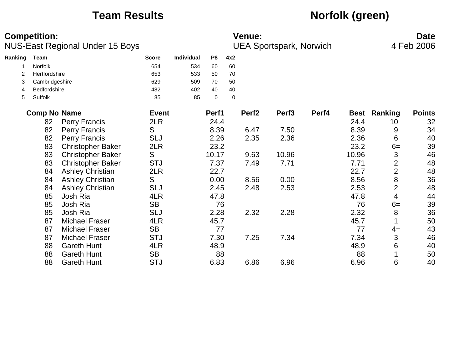## **Team Results Norfolk (green)**

|         | <b>Competition:</b> |                                 |              |                   |             |     | <b>Venue:</b>     |                                |       |       |                | <b>Date</b>     |
|---------|---------------------|---------------------------------|--------------|-------------------|-------------|-----|-------------------|--------------------------------|-------|-------|----------------|-----------------|
|         |                     | NUS-East Regional Under 15 Boys |              |                   |             |     |                   | <b>UEA Sportspark, Norwich</b> |       |       |                | 4 Feb 2006      |
| Ranking | <b>Team</b>         |                                 | <b>Score</b> | <b>Individual</b> | P8          | 4x2 |                   |                                |       |       |                |                 |
|         | Norfolk             |                                 | 654          | 534               | 60          | 60  |                   |                                |       |       |                |                 |
| 2       | Hertfordshire       |                                 | 653          | 533               | 50          | 70  |                   |                                |       |       |                |                 |
| 3       | Cambridgeshire      |                                 | 629          | 509               | 70          | 50  |                   |                                |       |       |                |                 |
| 4       | Bedfordshire        |                                 | 482          | 402               | 40          | 40  |                   |                                |       |       |                |                 |
| 5       | Suffolk             |                                 | 85           | 85                | $\mathbf 0$ | 0   |                   |                                |       |       |                |                 |
|         | <b>Comp No Name</b> |                                 | <b>Event</b> |                   | Perf1       |     | Perf <sub>2</sub> | Perf <sub>3</sub>              | Perf4 | Best  | Ranking        | <b>Points</b>   |
|         | 82                  | <b>Perry Francis</b>            | 2LR          |                   | 24.4        |     |                   |                                |       | 24.4  | 10             | 32 <sub>2</sub> |
|         | 82                  | <b>Perry Francis</b>            | S            |                   | 8.39        |     | 6.47              | 7.50                           |       | 8.39  | 9              | 34              |
|         | 82                  | <b>Perry Francis</b>            | <b>SLJ</b>   |                   | 2.26        |     | 2.35              | 2.36                           |       | 2.36  | 6              | 40              |
|         | 83                  | <b>Christopher Baker</b>        | 2LR          |                   | 23.2        |     |                   |                                |       | 23.2  | $6=$           | 39              |
|         | 83                  | <b>Christopher Baker</b>        | S            |                   | 10.17       |     | 9.63              | 10.96                          |       | 10.96 | 3              | 46              |
|         | 83                  | <b>Christopher Baker</b>        | <b>STJ</b>   |                   | 7.37        |     | 7.49              | 7.71                           |       | 7.71  | $\overline{2}$ | 48              |
|         | 84                  | <b>Ashley Christian</b>         | 2LR          |                   | 22.7        |     |                   |                                |       | 22.7  | $\overline{2}$ | 48              |
|         | 84                  | <b>Ashley Christian</b>         | S            |                   | 0.00        |     | 8.56              | 0.00                           |       | 8.56  | 8              | 36              |
|         | 84                  | <b>Ashley Christian</b>         | <b>SLJ</b>   |                   | 2.45        |     | 2.48              | 2.53                           |       | 2.53  | $\overline{2}$ | 48              |
|         | 85                  | Josh Ria                        | 4LR          |                   | 47.8        |     |                   |                                |       | 47.8  | 4              | 44              |
|         | 85                  | Josh Ria                        | <b>SB</b>    |                   | 76          |     |                   |                                |       | 76    | $6=$           | 39              |
|         | 85                  | Josh Ria                        | <b>SLJ</b>   |                   | 2.28        |     | 2.32              | 2.28                           |       | 2.32  | 8              | 36              |
|         | 87                  | <b>Michael Fraser</b>           | 4LR          |                   | 45.7        |     |                   |                                |       | 45.7  |                | 50              |
|         | 87                  | <b>Michael Fraser</b>           | <b>SB</b>    |                   | 77          |     |                   |                                |       | 77    | $4=$           | 43              |
|         | 87                  | <b>Michael Fraser</b>           | <b>STJ</b>   |                   | 7.30        |     | 7.25              | 7.34                           |       | 7.34  | 3              | 46              |
|         | 88                  | <b>Gareth Hunt</b>              | 4LR          |                   | 48.9        |     |                   |                                |       | 48.9  | 6              | 40              |
|         | 88                  | <b>Gareth Hunt</b>              | <b>SB</b>    |                   | 88          |     |                   |                                |       | 88    |                | 50              |
|         | 88                  | <b>Gareth Hunt</b>              | <b>STJ</b>   |                   | 6.83        |     | 6.86              | 6.96                           |       | 6.96  | 6              | 40              |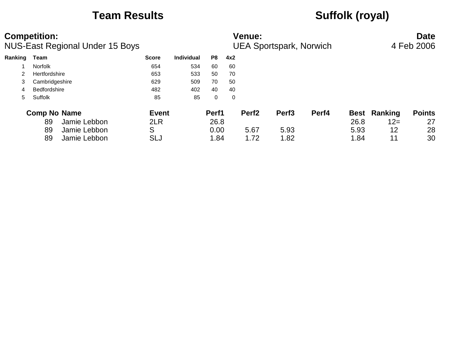## **Team Results Suffolk (royal)**

|         | <b>Competition:</b><br>NUS-East Regional Under 15 Boys |              |            |       |     | <b>Venue:</b>     | <b>UEA Sportspark, Norwich</b> |       |      |                     | <b>Date</b><br>4 Feb 2006 |
|---------|--------------------------------------------------------|--------------|------------|-------|-----|-------------------|--------------------------------|-------|------|---------------------|---------------------------|
| Ranking | Team                                                   | <b>Score</b> | Individual | P8    | 4x2 |                   |                                |       |      |                     |                           |
|         | <b>Norfolk</b>                                         | 654          | 534        | 60    | 60  |                   |                                |       |      |                     |                           |
|         | Hertfordshire                                          | 653          | 533        | 50    | 70  |                   |                                |       |      |                     |                           |
| 3       | Cambridgeshire                                         | 629          | 509        | 70    | 50  |                   |                                |       |      |                     |                           |
| 4       | <b>Bedfordshire</b>                                    | 482          | 402        | 40    | 40  |                   |                                |       |      |                     |                           |
| 5.      | Suffolk                                                | 85           | 85         | 0     | 0   |                   |                                |       |      |                     |                           |
|         | <b>Comp No Name</b>                                    | <b>Event</b> |            | Perf1 |     | Perf <sub>2</sub> | Perf <sub>3</sub>              | Perf4 |      | <b>Best Ranking</b> | <b>Points</b>             |
|         | 89<br>Jamie Lebbon                                     | 2LR          |            | 26.8  |     |                   |                                |       | 26.8 | $12=$               | 27                        |
|         | Jamie Lebbon<br>89                                     | S            |            | 0.00  |     | 5.67              | 5.93                           |       | 5.93 | 12                  | 28                        |
|         | Jamie Lebbon<br>89                                     | SLJ          |            | 1.84  |     | 1.72              | 1.82                           |       | 1.84 | 11                  | 30                        |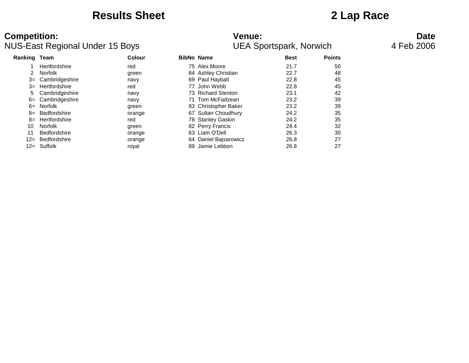## **Results Sheet 2 Lap Race**

### **Competition:** Date NUS-East Regional Under 15 Boys UEA Sportspark, Norwich 4 Feb 2006

### **Ranking Team Colour BibNo Name Best Points** 1 Hertfordshire 60 Ferrari red 60 Ferrari 75 Alex Moore 21.7 Contract 21.7 50 2 Norfolk green 84 Ashley Christian 22.7 48 3= Cambridgeshire navy 69 Paul Hayball 22.8 45 3= Hertfordshire red 77 John Webb 22.8 45 5 Cambridgeshire navy 73 Richard Stenton 23.1 42 6= Cambridgeshire navy 71 Tom McFadzean 23.2 39 6= Norfolk green 83 Christopher Baker 23.2 39 8= Bedfordshire orange 67 Sultan Choudhury 24.2 35 8= Hertfordshire The Ted The Taskin 24.2 35 10 Norfolk green 82 Perry Francis 24.4 32 11 Bedfordshire **11 Bedfordshire 11 Bedfordshire 11 Bedfordshire 126.3** 30 12= Bedfordshire orange 64 Daniel Bajsarowicz 26.8 27 12 = Suffolk 10 coval 12 = Suffolk 12 = Suffolk 12 = Suffolk 12 =  $27$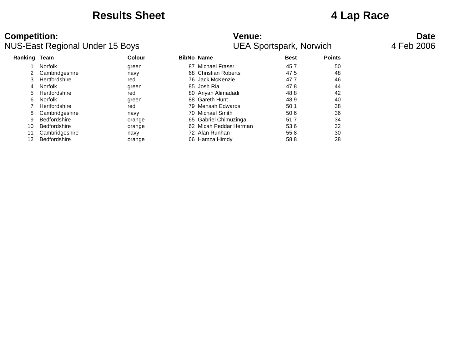## **Results Sheet 4 Lap Race**

| $50 - 200$   |                     |        |    |                        |             |               |  |  |  |  |
|--------------|---------------------|--------|----|------------------------|-------------|---------------|--|--|--|--|
| Ranking Team |                     | Colour |    | <b>BibNo Name</b>      | <b>Best</b> | <b>Points</b> |  |  |  |  |
|              | <b>Norfolk</b>      | green  | 87 | Michael Fraser         | 45.7        | 50            |  |  |  |  |
|              | Cambridgeshire      | navy   |    | 68 Christian Roberts   | 47.5        | 48            |  |  |  |  |
|              | Hertfordshire       | red    |    | 76 Jack McKenzie       | 47.7        | 46            |  |  |  |  |
| 4            | <b>Norfolk</b>      | green  |    | 85 Josh Ria            | 47.8        | 44            |  |  |  |  |
| 5.           | Hertfordshire       | red    |    | 80 Ariyan Alimadadi    | 48.8        | 42            |  |  |  |  |
| 6            | <b>Norfolk</b>      | green  |    | 88 Gareth Hunt         | 48.9        | 40            |  |  |  |  |
|              | Hertfordshire       | red    |    | 79 Mensah Edwards      | 50.1        | 38            |  |  |  |  |
| 8            | Cambridgeshire      | navy   |    | 70 Michael Smith       | 50.6        | 36            |  |  |  |  |
| 9            | <b>Bedfordshire</b> | orange |    | 65 Gabriel Chimuzinga  | 51.7        | 34            |  |  |  |  |
| 10           | <b>Bedfordshire</b> | orange |    | 62 Micah Peddar Herman | 53.6        | 32            |  |  |  |  |
| 11           | Cambridgeshire      | navy   |    | 72 Alan Runhan         | 55.8        | 30            |  |  |  |  |
| 12           | <b>Bedfordshire</b> | orange |    | 66 Hamza Himdy         | 58.8        | 28            |  |  |  |  |
|              |                     |        |    |                        |             |               |  |  |  |  |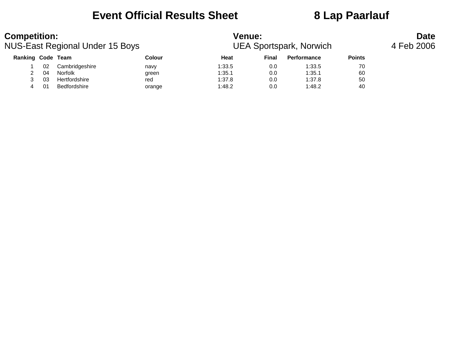## **Event Official Results Sheet 8 Lap Paarlauf**

| <b>Competition:</b><br>NUS-East Regional Under 15 Boys |    |                | <b>Venue:</b><br><b>UEA Sportspark, Norwich</b> |        |       |             | <b>Date</b><br>4 Feb 2006 |  |
|--------------------------------------------------------|----|----------------|-------------------------------------------------|--------|-------|-------------|---------------------------|--|
| Ranking Code Team                                      |    |                | Colour                                          | Heat   | Final | Performance | <b>Points</b>             |  |
|                                                        | 02 | Cambridgeshire | navy                                            | 1:33.5 | 0.0   | 1:33.5      | 70                        |  |
|                                                        | 04 | Norfolk        | green                                           | 1:35.1 | 0.0   | 1:35.1      | 60                        |  |
|                                                        | 03 | Hertfordshire  | red                                             | 1:37.8 | 0.0   | 1:37.8      | 50                        |  |
|                                                        | 01 | Bedfordshire   | orange                                          | 1:48.2 | 0.0   | 1:48.2      | 40                        |  |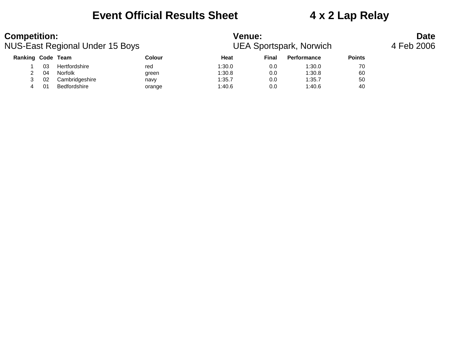## **Event Official Results Sheet 4 x 2 Lap Relay**

| <b>Competition:</b><br>NUS-East Regional Under 15 Boys |    |                | <b>Venue:</b><br><b>UEA Sportspark, Norwich</b> |        |       |             | <b>Date</b><br>4 Feb 2006 |  |
|--------------------------------------------------------|----|----------------|-------------------------------------------------|--------|-------|-------------|---------------------------|--|
| <b>Ranking Code Team</b>                               |    |                | Colour                                          | Heat   | Final | Performance | <b>Points</b>             |  |
|                                                        | 03 | Hertfordshire  | red                                             | 1:30.0 | 0.0   | 1:30.0      | 70                        |  |
|                                                        | 04 | <b>Norfolk</b> | green                                           | 1:30.8 | 0.0   | 1:30.8      | 60                        |  |
|                                                        | 02 | Cambridgeshire | navy                                            | 1:35.7 | 0.0   | 1:35.7      | 50                        |  |
| 4                                                      | 01 | Bedfordshire   | orange                                          | 1:40.6 | 0.0   | 1:40.6      | 40                        |  |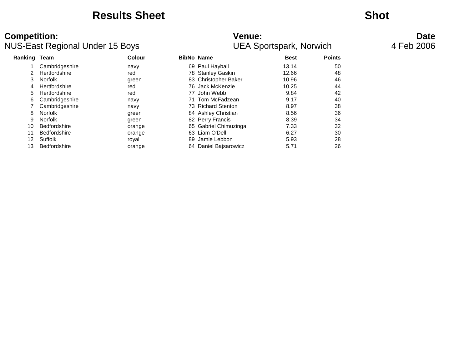## **Results Sheet Shot**

### **Competition: Venue: Date** NUS-East Regional Under 15 Boys UEA Sportspark, Norwich 4 Feb 2006

| Ranking Team |                     | <b>Colour</b> | <b>BibNo Name</b> |                       | <b>Best</b> | <b>Points</b> |
|--------------|---------------------|---------------|-------------------|-----------------------|-------------|---------------|
|              | Cambridgeshire      | navy          |                   | 69 Paul Hayball       | 13.14       | 50            |
|              | Hertfordshire       | red           |                   | 78 Stanley Gaskin     | 12.66       | 48            |
| 3            | <b>Norfolk</b>      | green         |                   | 83 Christopher Baker  | 10.96       | 46            |
| 4            | Hertfordshire       | red           |                   | 76 Jack McKenzie      | 10.25       | 44            |
| 5            | Hertfordshire       | red           | 77                | John Webb             | 9.84        | 42            |
| 6            | Cambridgeshire      | navy          | 71.               | Tom McFadzean         | 9.17        | 40            |
|              | Cambridgeshire      | navy          |                   | 73 Richard Stenton    | 8.97        | 38            |
| 8            | <b>Norfolk</b>      | green         |                   | 84 Ashley Christian   | 8.56        | 36            |
| 9            | <b>Norfolk</b>      | green         |                   | 82 Perry Francis      | 8.39        | 34            |
| 10           | <b>Bedfordshire</b> | orange        |                   | 65 Gabriel Chimuzinga | 7.33        | 32            |
| 11           | <b>Bedfordshire</b> | orange        |                   | 63 Liam O'Dell        | 6.27        | 30            |
| 12           | Suffolk             | royal         | 89                | Jamie Lebbon          | 5.93        | 28            |
| 13           | <b>Bedfordshire</b> | orange        |                   | 64 Daniel Bajsarowicz | 5.71        | 26            |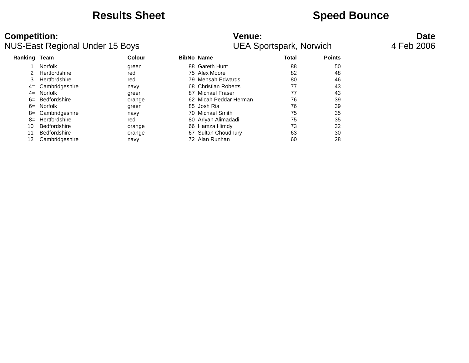## **Results Sheet <b>Speed Bounce Speed Bounce**

### **Competition: Date**<br> **Date**<br> **Date**<br> **Date**<br> **Date**<br>
UEA Sportspark, Norwich 4 Feb 2006 NUS-East Regional Under 15 Boys **UEA Sportspark, Norwich** 4 Feb 2006

**Ranking Team** 

|      | ting Team           | <b>Colour</b> |    | <b>BibNo Name</b>      | Total | <b>Points</b> |
|------|---------------------|---------------|----|------------------------|-------|---------------|
|      | <b>Norfolk</b>      | green         |    | 88 Gareth Hunt         | 88    | 50            |
|      | Hertfordshire       | red           |    | 75 Alex Moore          | 82    | 48            |
| 3    | Hertfordshire       | red           |    | 79 Mensah Edwards      | 80    | 46            |
| $4=$ | Cambridgeshire      | navy          |    | 68 Christian Roberts   | 77    | 43            |
| $4=$ | Norfolk             | green         | 87 | Michael Fraser         | 77    | 43            |
| $6=$ | Bedfordshire        | orange        |    | 62 Micah Peddar Herman | 76    | 39            |
| $6=$ | Norfolk             | green         |    | 85 Josh Ria            | 76    | 39            |
| 8=   | Cambridgeshire      | navy          |    | 70 Michael Smith       | 75    | 35            |
| $8=$ | Hertfordshire       | red           |    | 80 Ariyan Alimadadi    | 75    | 35            |
| 10   | <b>Bedfordshire</b> | orange        |    | 66 Hamza Himdy         | 73    | 32            |
| 11   | <b>Bedfordshire</b> | orange        |    | 67 Sultan Choudhury    | 63    | 30            |
| 12   | Cambridgeshire      | navy          |    | 72 Alan Runhan         | 60    | 28            |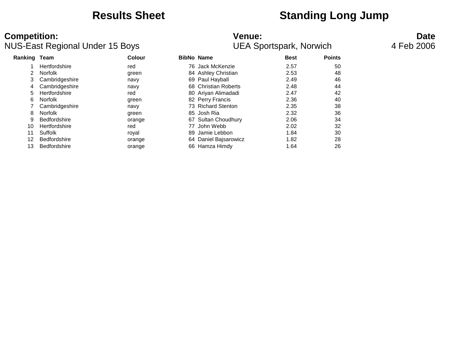## **Results Sheet Standing Long Jump**

| Ranking Team |                     | <b>Colour</b> |    | <b>BibNo Name</b>     | <b>Best</b> | <b>Points</b> |
|--------------|---------------------|---------------|----|-----------------------|-------------|---------------|
|              | Hertfordshire       | red           |    | 76 Jack McKenzie      | 2.57        | 50            |
|              | <b>Norfolk</b>      | green         |    | 84 Ashley Christian   | 2.53        | 48            |
|              | Cambridgeshire      | navy          |    | 69 Paul Hayball       | 2.49        | 46            |
| 4            | Cambridgeshire      | navy          |    | 68 Christian Roberts  | 2.48        | 44            |
| 5            | Hertfordshire       | red           |    | 80 Ariyan Alimadadi   | 2.47        | 42            |
| 6            | <b>Norfolk</b>      | green         |    | 82 Perry Francis      | 2.36        | 40            |
|              | Cambridgeshire      | navy          |    | 73 Richard Stenton    | 2.35        | 38            |
| 8            | <b>Norfolk</b>      | green         |    | 85 Josh Ria           | 2.32        | 36            |
| 9            | <b>Bedfordshire</b> | orange        |    | 67 Sultan Choudhury   | 2.06        | 34            |
| 10           | Hertfordshire       | red           | 77 | John Webb             | 2.02        | 32            |
|              | Suffolk             | royal         |    | 89 Jamie Lebbon       | 1.84        | 30            |
| 12           | <b>Bedfordshire</b> | orange        |    | 64 Daniel Bajsarowicz | 1.82        | 28            |
| 13           | <b>Bedfordshire</b> | orange        |    | 66 Hamza Himdy        | 1.64        | 26            |